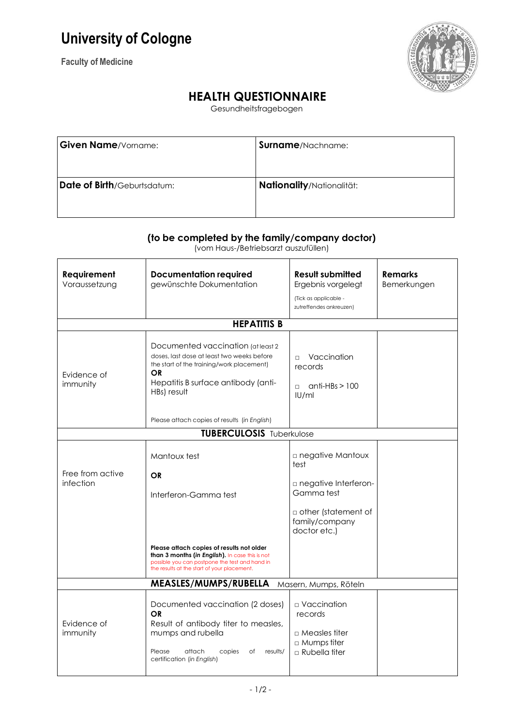## **University of Cologne**

**Faculty of Medicine**



## **HEALTH QUESTIONNAIRE**

Gesundheitsfragebogen

| <b>Given Name/Vorname:</b>  | <b>Surname</b> /Nachname: |
|-----------------------------|---------------------------|
| Date of Birth/Geburtsdatum: | Nationality/Nationalität: |

## **(to be completed by the family/company doctor)**

(vom Haus-/Betriebsarzt auszufüllen)

| Requirement<br>Voraussetzung                   | <b>Documentation required</b><br>gewünschte Dokumentation                                                                                                                                         | <b>Result submitted</b><br>Ergebnis vorgelegt<br>(Tick as applicable -<br>zutreffendes ankreuzen)                         | <b>Remarks</b><br>Bemerkungen |  |  |  |
|------------------------------------------------|---------------------------------------------------------------------------------------------------------------------------------------------------------------------------------------------------|---------------------------------------------------------------------------------------------------------------------------|-------------------------------|--|--|--|
| <b>HEPATITIS B</b>                             |                                                                                                                                                                                                   |                                                                                                                           |                               |  |  |  |
| Evidence of<br>immunity                        | Documented vaccination (at least 2)<br>doses, last dose at least two weeks before<br>the start of the training/work placement)<br><b>OR</b><br>Hepatitis B surface antibody (anti-<br>HBs) result | $\Box$ Vaccination<br>records<br>$anti-HBs > 100$<br>$\Box$<br>IUI/ml                                                     |                               |  |  |  |
|                                                | Please attach copies of results (in English)                                                                                                                                                      |                                                                                                                           |                               |  |  |  |
|                                                | <b>TUBERCULOSIS Tuberkulose</b>                                                                                                                                                                   |                                                                                                                           |                               |  |  |  |
| Free from active<br>infection                  | Mantoux test<br><b>OR</b><br>Interferon-Gamma test                                                                                                                                                | □ negative Mantoux<br>test<br>negative Interferon-<br>Gamma test<br>other (statement of<br>family/company<br>doctor etc.) |                               |  |  |  |
|                                                | Please attach copies of results not older<br>than 3 months (in English). In case this is not<br>possible you can postpone the test and hand in<br>the results at the start of your placement.     |                                                                                                                           |                               |  |  |  |
| MEASLES/MUMPS/RUBELLA<br>Masern, Mumps, Röteln |                                                                                                                                                                                                   |                                                                                                                           |                               |  |  |  |
| Evidence of<br>immunity                        | Documented vaccination (2 doses)<br><b>OR</b><br>Result of antibody titer to measles,<br>mumps and rubella<br>attach<br>Please<br>copies<br>оf<br>results/<br>certification (in English)          | □ Vaccination<br>records<br>$\Box$ Measles titer<br>□ Mumps titer<br>$\Box$ Rubella titer                                 |                               |  |  |  |